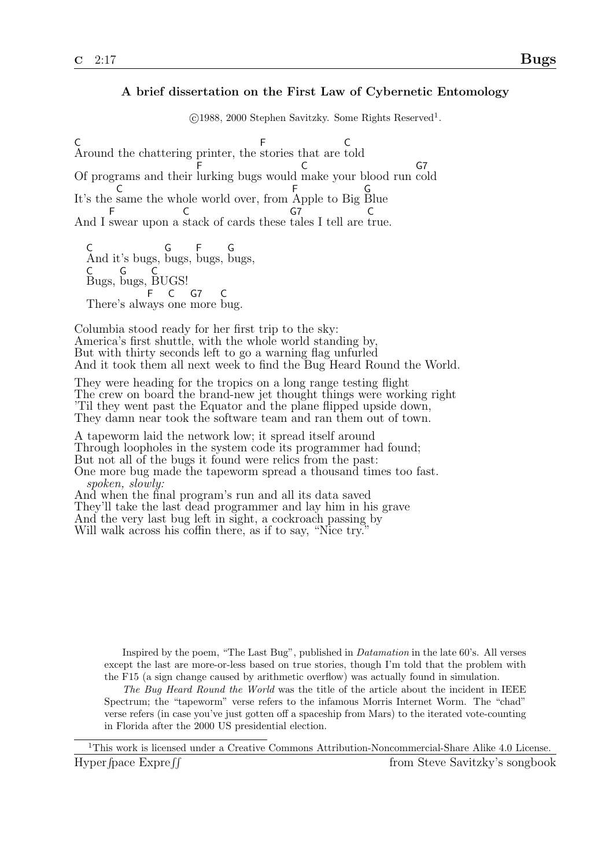## A brief dissertation on the First Law of Cybernetic Entomology

©1988, 2000 Stephen Savitzky. Some Rights Reserved<sup>1</sup>.

C Around the chattering printer, the F stories that are C told Of programs and their lurking bugs would make your blood run cold F  $\mathcal{C}$  $G<sub>7</sub>$ It's the same the whole world over, from C F Apple to Big G Blue And I swear upon a stack of cards these tales I tell are true. F  $\mathcal{C}$  $G<sub>7</sub>$ C

C And it's bugs, G bugs, F bugs, G bugs, C Bugs, G bugs, ์<br>C BUGS! There's alw ays one more bug. F C G7 C

Columbia stood ready for her first trip to the sky: America's first shuttle, with the whole world standing by, But with thirty seconds left to go a warning flag unfurled And it took them all next week to find the Bug Heard Round the World.

They were heading for the tropics on a long range testing flight The crew on board the brand-new jet thought things were working right 'Til they went past the Equator and the plane flipped upside down, They damn near took the software team and ran them out of town.

A tapeworm laid the network low; it spread itself around Through loopholes in the system code its programmer had found; But not all of the bugs it found were relics from the past: One more bug made the tapeworm spread a thousand times too fast. spoken, slowly: And when the final program's run and all its data saved They'll take the last dead programmer and lay him in his grave And the very last bug left in sight, a cockroach passing by

Will walk across his coffin there, as if to say, "Nice try."

Inspired by the poem, "The Last Bug", published in Datamation in the late 60's. All verses except the last are more-or-less based on true stories, though I'm told that the problem with the F15 (a sign change caused by arithmetic overflow) was actually found in simulation.

The Bug Heard Round the World was the title of the article about the incident in IEEE Spectrum; the "tapeworm" verse refers to the infamous Morris Internet Worm. The "chad" verse refers (in case you've just gotten off a spaceship from Mars) to the iterated vote-counting in Florida after the 2000 US presidential election.

<sup>1</sup>This work is licensed under a Creative Commons Attribution-Noncommercial-Share Alike 4.0 License. Hyper fpace  $\text{Expre}$  ff from Steve Savitzky's songbook